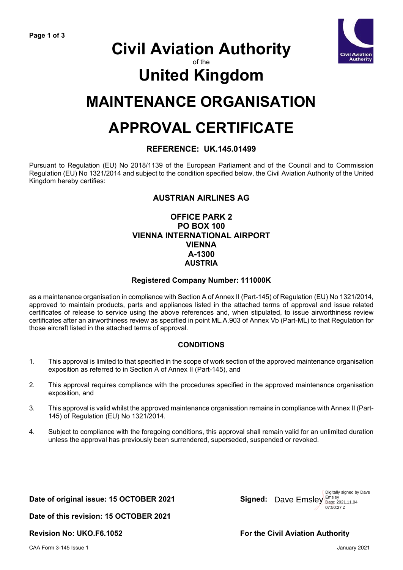

# **Civil Aviation Authority**

### of the

# **United Kingdom**

## **MAINTENANCE ORGANISATION**

## **APPROVAL CERTIFICATE**

#### **REFERENCE: UK.145.01499**

Pursuant to Regulation (EU) No 2018/1139 of the European Parliament and of the Council and to Commission Regulation (EU) No 1321/2014 and subject to the condition specified below, the Civil Aviation Authority of the United Kingdom hereby certifies:

### **AUSTRIAN AIRLINES AG**

#### **OFFICE PARK 2 PO BOX 100 VIENNA INTERNATIONAL AIRPORT VIENNA A-1300 AUSTRIA**

#### **Registered Company Number: 111000K**

as a maintenance organisation in compliance with Section A of Annex II (Part-145) of Regulation (EU) No 1321/2014, approved to maintain products, parts and appliances listed in the attached terms of approval and issue related certificates of release to service using the above references and, when stipulated, to issue airworthiness review certificates after an airworthiness review as specified in point ML.A.903 of Annex Vb (Part-ML) to that Regulation for those aircraft listed in the attached terms of approval.

#### **CONDITIONS**

- 1. This approval is limited to that specified in the scope of work section of the approved maintenance organisation exposition as referred to in Section A of Annex II (Part-145), and
- 2. This approval requires compliance with the procedures specified in the approved maintenance organisation exposition, and
- 3. This approval is valid whilst the approved maintenance organisation remains in compliance with Annex II (Part-145) of Regulation (EU) No 1321/2014.
- 4. Subject to compliance with the foregoing conditions, this approval shall remain valid for an unlimited duration unless the approval has previously been surrendered, superseded, suspended or revoked.

#### Date of original issue: 15 OCTOBER 2021

Dave Emsley Emsley Date: 2021.11.04 Digitally signed by Dave 07:50:27 Z

**Date of this revision: 15 OCTOBER 2021**

**Revision No: UKO.F6.1052 For the Civil Aviation Authority**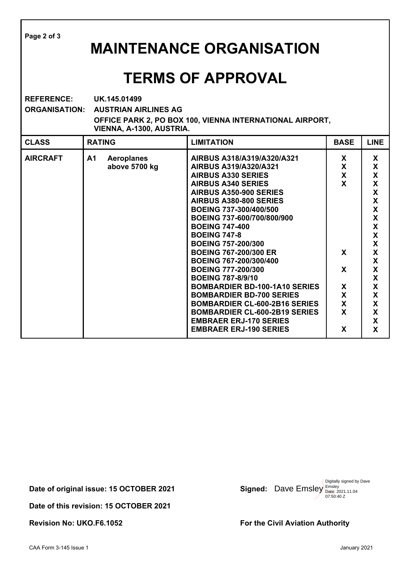**Page 2 of 3 MAINTENANCE ORGANISATION TERMS OF APPROVAL REFERENCE: UK.145.01499 ORGANISATION: AUSTRIAN AIRLINES AG OFFICE PARK 2, PO BOX 100, VIENNA INTERNATIONAL AIRPORT, VIENNA, A-1300, AUSTRIA. CLASS RATING LIMITATION BASE LINE AIRCRAFT A1 Aeroplanes above 5700 kg AIRBUS A318/A319/A320/A321 AIRBUS A319/A320/A321 AIRBUS A330 SERIES AIRBUS A340 SERIES AIRBUS A350-900 SERIES AIRBUS A380-800 SERIES BOEING 737-300/400/500 BOEING 737-600/700/800/900 BOEING 747-400 BOEING 747-8 BOEING 757-200/300 BOEING 767-200/300 ER BOEING 767-200/300/400 BOEING 777-200/300 BOEING 787-8/9/10 BOMBARDIER BD-100-1A10 SERIES BOMBARDIER BD-700 SERIES BOMBARDIER CL-600-2B16 SERIES BOMBARDIER CL-600-2B19 SERIES EMBRAER ERJ-170 SERIES EMBRAER ERJ-190 SERIES X X X X X X X X X X X X X X X X X X X X X X X X X X X X X X X X**

Date of original issue: 15 OCTOBER 2021

**Date of this revision: 15 OCTOBER 2021** 

Dave Emsley Emsley Date: 2021.11.04 Digitally signed by Dave 07:50:40 Z

**Revision No: UKO.F6.1052** For the Civil Aviation Authority